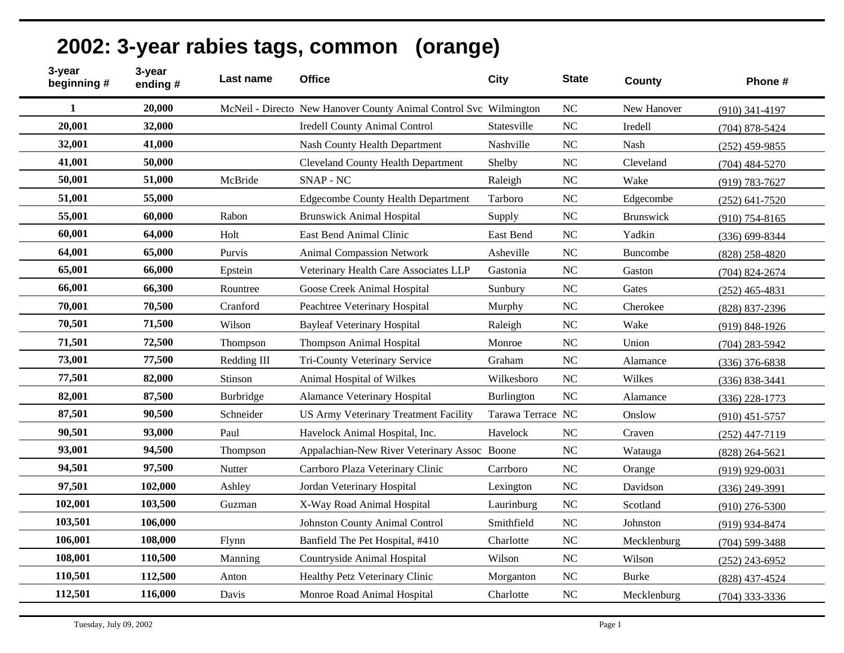|  | 2002: 3-year rabies tags, common (orange) |  |
|--|-------------------------------------------|--|
|--|-------------------------------------------|--|

| 3-year<br>beginning # | 3-year<br>ending# | Last name   | <b>Office</b>                                                     | <b>City</b>       | <b>State</b>   | <b>County</b> | Phone #            |
|-----------------------|-------------------|-------------|-------------------------------------------------------------------|-------------------|----------------|---------------|--------------------|
| 1                     | 20,000            |             | McNeil - Directo New Hanover County Animal Control Svc Wilmington |                   | <b>NC</b>      | New Hanover   | $(910)$ 341-4197   |
| 20,001                | 32,000            |             | <b>Iredell County Animal Control</b>                              | Statesville       | NC             | Iredell       | $(704)$ 878-5424   |
| 32,001                | 41,000            |             | <b>Nash County Health Department</b>                              | Nashville         | <b>NC</b>      | Nash          | $(252)$ 459-9855   |
| 41,001                | 50,000            |             | <b>Cleveland County Health Department</b>                         | Shelby            | N <sub>C</sub> | Cleveland     | $(704)$ 484-5270   |
| 50,001                | 51,000            | McBride     | <b>SNAP - NC</b>                                                  | Raleigh           | N <sub>C</sub> | Wake          | (919) 783-7627     |
| 51,001                | 55,000            |             | <b>Edgecombe County Health Department</b>                         | Tarboro           | N <sub>C</sub> | Edgecombe     | $(252)$ 641-7520   |
| 55,001                | 60,000            | Rabon       | <b>Brunswick Animal Hospital</b>                                  | Supply            | N <sub>C</sub> | Brunswick     | $(910)$ 754-8165   |
| 60,001                | 64,000            | Holt        | East Bend Animal Clinic                                           | East Bend         | <b>NC</b>      | Yadkin        | $(336) 699 - 8344$ |
| 64,001                | 65,000            | Purvis      | <b>Animal Compassion Network</b>                                  | Asheville         | <b>NC</b>      | Buncombe      | $(828)$ 258-4820   |
| 65,001                | 66,000            | Epstein     | Veterinary Health Care Associates LLP                             | Gastonia          | <b>NC</b>      | Gaston        | $(704)$ 824-2674   |
| 66,001                | 66,300            | Rountree    | Goose Creek Animal Hospital                                       | Sunbury           | <b>NC</b>      | Gates         | $(252)$ 465-4831   |
| 70,001                | 70,500            | Cranford    | Peachtree Veterinary Hospital                                     | Murphy            | N <sub>C</sub> | Cherokee      | (828) 837-2396     |
| 70,501                | 71,500            | Wilson      | <b>Bayleaf Veterinary Hospital</b>                                | Raleigh           | <b>NC</b>      | Wake          | $(919) 848 - 1926$ |
| 71,501                | 72,500            | Thompson    | <b>Thompson Animal Hospital</b>                                   | Monroe            | <b>NC</b>      | Union         | $(704)$ 283-5942   |
| 73,001                | 77,500            | Redding III | Tri-County Veterinary Service                                     | Graham            | N <sub>C</sub> | Alamance      | $(336)$ 376-6838   |
| 77,501                | 82,000            | Stinson     | Animal Hospital of Wilkes                                         | Wilkesboro        | <b>NC</b>      | Wilkes        | $(336) 838 - 3441$ |
| 82,001                | 87,500            | Burbridge   | <b>Alamance Veterinary Hospital</b>                               | <b>Burlington</b> | <b>NC</b>      | Alamance      | $(336)$ 228-1773   |
| 87,501                | 90,500            | Schneider   | <b>US Army Veterinary Treatment Facility</b>                      | Tarawa Terrace NC |                | Onslow        | $(910)$ 451-5757   |
| 90,501                | 93,000            | Paul        | Havelock Animal Hospital, Inc.                                    | Havelock          | N <sub>C</sub> | Craven        | $(252)$ 447-7119   |
| 93,001                | 94,500            | Thompson    | Appalachian-New River Veterinary Assoc Boone                      |                   | N <sub>C</sub> | Watauga       | $(828)$ 264-5621   |
| 94,501                | 97,500            | Nutter      | Carrboro Plaza Veterinary Clinic                                  | Carrboro          | N <sub>C</sub> | Orange        | $(919)$ 929-0031   |
| 97,501                | 102,000           | Ashley      | Jordan Veterinary Hospital                                        | Lexington         | <b>NC</b>      | Davidson      | $(336)$ 249-3991   |
| 102,001               | 103,500           | Guzman      | X-Way Road Animal Hospital                                        | Laurinburg        | N <sub>C</sub> | Scotland      | $(910)$ 276-5300   |
| 103,501               | 106,000           |             | <b>Johnston County Animal Control</b>                             | Smithfield        | <b>NC</b>      | Johnston      | (919) 934-8474     |
| 106,001               | 108,000           | Flynn       | Banfield The Pet Hospital, #410                                   | Charlotte         | NC             | Mecklenburg   | $(704)$ 599-3488   |
| 108,001               | 110,500           | Manning     | Countryside Animal Hospital                                       | Wilson            | N <sub>C</sub> | Wilson        | $(252)$ 243-6952   |
| 110,501               | 112,500           | Anton       | Healthy Petz Veterinary Clinic                                    | Morganton         | N <sub>C</sub> | <b>Burke</b>  | (828) 437-4524     |
| 112,501               | 116,000           | Davis       | Monroe Road Animal Hospital                                       | Charlotte         | <b>NC</b>      | Mecklenburg   | $(704)$ 333-3336   |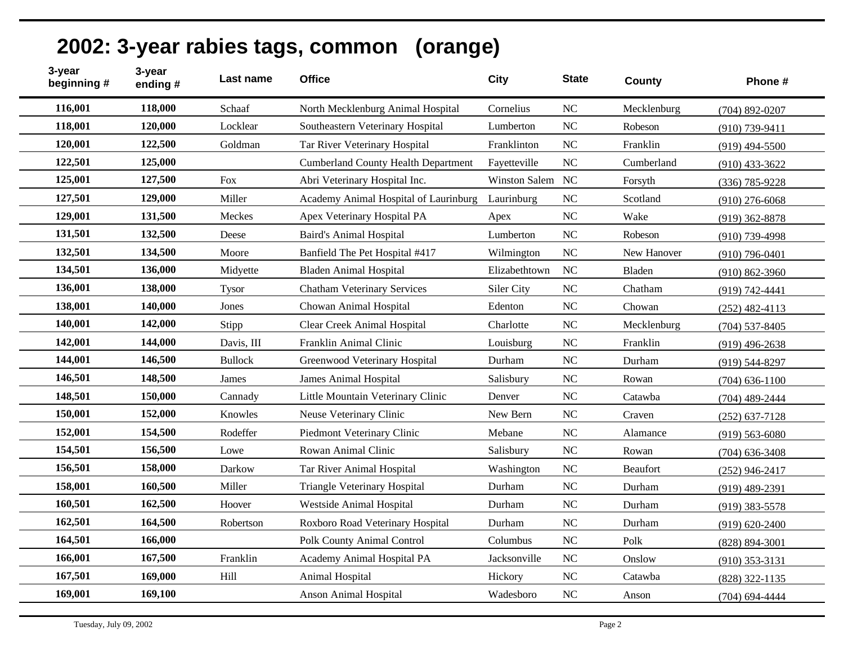| 3-year<br>beginning # | 3-year<br>ending# | Last name      | <b>Office</b>                              | <b>City</b>   | <b>State</b> | County          | Phone #            |
|-----------------------|-------------------|----------------|--------------------------------------------|---------------|--------------|-----------------|--------------------|
| 116,001               | 118,000           | Schaaf         | North Mecklenburg Animal Hospital          | Cornelius     | <b>NC</b>    | Mecklenburg     | $(704)$ 892-0207   |
| 118,001               | 120,000           | Locklear       | Southeastern Veterinary Hospital           | Lumberton     | NC           | Robeson         | $(910)$ 739-9411   |
| 120,001               | 122,500           | Goldman        | Tar River Veterinary Hospital              | Franklinton   | <b>NC</b>    | Franklin        | $(919)$ 494-5500   |
| 122,501               | 125,000           |                | <b>Cumberland County Health Department</b> | Fayetteville  | <b>NC</b>    | Cumberland      | $(910)$ 433-3622   |
| 125,001               | 127,500           | Fox            | Abri Veterinary Hospital Inc.              | Winston Salem | <b>NC</b>    | Forsyth         | $(336)$ 785-9228   |
| 127,501               | 129,000           | Miller         | Academy Animal Hospital of Laurinburg      | Laurinburg    | <b>NC</b>    | Scotland        | $(910)$ 276-6068   |
| 129,001               | 131,500           | Meckes         | Apex Veterinary Hospital PA                | Apex          | NC           | Wake            | $(919)$ 362-8878   |
| 131,501               | 132,500           | Deese          | <b>Baird's Animal Hospital</b>             | Lumberton     | <b>NC</b>    | Robeson         | $(910)$ 739-4998   |
| 132,501               | 134,500           | Moore          | Banfield The Pet Hospital #417             | Wilmington    | <b>NC</b>    | New Hanover     | $(910)$ 796-0401   |
| 134,501               | 136,000           | Midyette       | <b>Bladen Animal Hospital</b>              | Elizabethtown | <b>NC</b>    | Bladen          | $(910) 862 - 3960$ |
| 136,001               | 138,000           | <b>Tysor</b>   | <b>Chatham Veterinary Services</b>         | Siler City    | <b>NC</b>    | Chatham         | (919) 742-4441     |
| 138,001               | 140,000           | Jones          | Chowan Animal Hospital                     | Edenton       | <b>NC</b>    | Chowan          | $(252)$ 482-4113   |
| 140,001               | 142,000           | Stipp          | Clear Creek Animal Hospital                | Charlotte     | NC           | Mecklenburg     | $(704)$ 537-8405   |
| 142,001               | 144,000           | Davis, III     | Franklin Animal Clinic                     | Louisburg     | <b>NC</b>    | Franklin        | $(919)$ 496-2638   |
| 144,001               | 146,500           | <b>Bullock</b> | Greenwood Veterinary Hospital              | Durham        | <b>NC</b>    | Durham          | $(919) 544 - 8297$ |
| 146,501               | 148,500           | James          | <b>James Animal Hospital</b>               | Salisbury     | NC           | Rowan           | $(704)$ 636-1100   |
| 148,501               | 150,000           | Cannady        | Little Mountain Veterinary Clinic          | Denver        | NC           | Catawba         | $(704)$ 489-2444   |
| 150,001               | 152,000           | Knowles        | Neuse Veterinary Clinic                    | New Bern      | <b>NC</b>    | Craven          | $(252)$ 637-7128   |
| 152,001               | 154,500           | Rodeffer       | Piedmont Veterinary Clinic                 | Mebane        | <b>NC</b>    | Alamance        | $(919) 563 - 6080$ |
| 154,501               | 156,500           | Lowe           | Rowan Animal Clinic                        | Salisbury     | <b>NC</b>    | Rowan           | $(704)$ 636-3408   |
| 156,501               | 158,000           | Darkow         | Tar River Animal Hospital                  | Washington    | NC           | <b>Beaufort</b> | $(252)$ 946-2417   |
| 158,001               | 160,500           | Miller         | <b>Triangle Veterinary Hospital</b>        | Durham        | <b>NC</b>    | Durham          | $(919)$ 489-2391   |
| 160,501               | 162,500           | Hoover         | Westside Animal Hospital                   | Durham        | <b>NC</b>    | Durham          | $(919)$ 383-5578   |
| 162,501               | 164,500           | Robertson      | Roxboro Road Veterinary Hospital           | Durham        | NC           | Durham          | $(919) 620 - 2400$ |
| 164,501               | 166,000           |                | Polk County Animal Control                 | Columbus      | NC           | Polk            | $(828) 894 - 3001$ |
| 166,001               | 167,500           | Franklin       | Academy Animal Hospital PA                 | Jacksonville  | <b>NC</b>    | Onslow          | $(910)$ 353-3131   |
| 167,501               | 169,000           | Hill           | Animal Hospital                            | Hickory       | <b>NC</b>    | Catawba         | (828) 322-1135     |
| 169,001               | 169,100           |                | Anson Animal Hospital                      | Wadesboro     | NC           | Anson           | $(704)$ 694-4444   |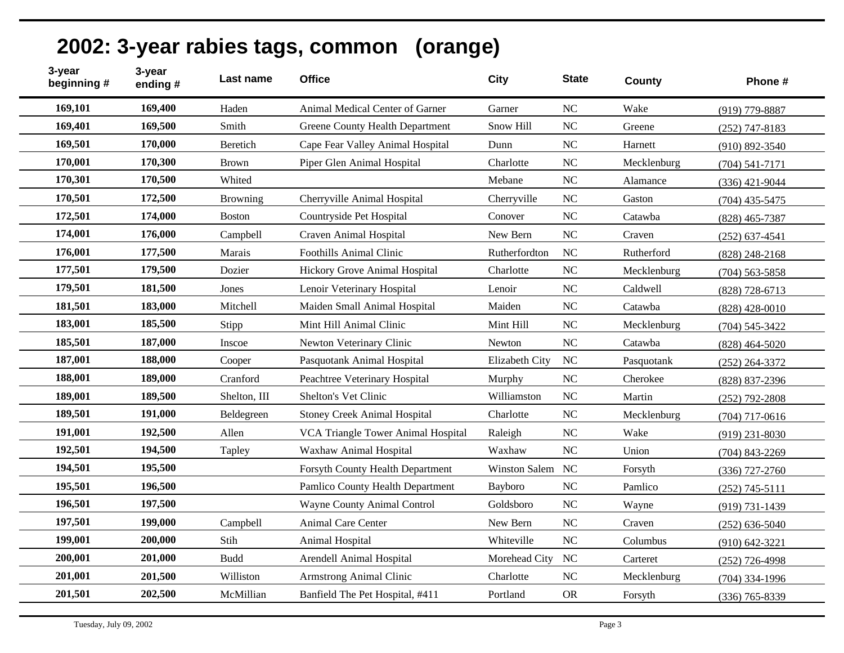| 3-year<br>beginning # | 3-year<br>ending# | Last name       | <b>Office</b>                          | <b>City</b>          | <b>State</b>   | <b>County</b> | Phone #            |
|-----------------------|-------------------|-----------------|----------------------------------------|----------------------|----------------|---------------|--------------------|
| 169,101               | 169,400           | Haden           | Animal Medical Center of Garner        | Garner               | NC             | Wake          | (919) 779-8887     |
| 169,401               | 169,500           | Smith           | <b>Greene County Health Department</b> | Snow Hill            | NC             | Greene        | $(252)$ 747-8183   |
| 169,501               | 170,000           | Beretich        | Cape Fear Valley Animal Hospital       | Dunn                 | N <sub>C</sub> | Harnett       | $(910) 892 - 3540$ |
| 170,001               | 170,300           | <b>Brown</b>    | Piper Glen Animal Hospital             | Charlotte            | NC             | Mecklenburg   | $(704) 541 - 7171$ |
| 170,301               | 170,500           | Whited          |                                        | Mebane               | NC             | Alamance      | $(336)$ 421-9044   |
| 170,501               | 172,500           | <b>Browning</b> | Cherryville Animal Hospital            | Cherryville          | NC             | Gaston        | $(704)$ 435-5475   |
| 172,501               | 174,000           | Boston          | Countryside Pet Hospital               | Conover              | <b>NC</b>      | Catawba       | $(828)$ 465-7387   |
| 174,001               | 176,000           | Campbell        | Craven Animal Hospital                 | New Bern             | NC             | Craven        | $(252) 637 - 4541$ |
| 176,001               | 177,500           | Marais          | Foothills Animal Clinic                | Rutherfordton        | NC             | Rutherford    | $(828)$ 248-2168   |
| 177,501               | 179,500           | Dozier          | Hickory Grove Animal Hospital          | Charlotte            | NC             | Mecklenburg   | $(704)$ 563-5858   |
| 179,501               | 181,500           | Jones           | Lenoir Veterinary Hospital             | Lenoir               | NC             | Caldwell      | $(828)$ 728-6713   |
| 181,501               | 183,000           | Mitchell        | Maiden Small Animal Hospital           | Maiden               | NC             | Catawba       | $(828)$ 428-0010   |
| 183,001               | 185,500           | Stipp           | Mint Hill Animal Clinic                | Mint Hill            | <b>NC</b>      | Mecklenburg   | $(704) 545 - 3422$ |
| 185,501               | 187,000           | Inscoe          | Newton Veterinary Clinic               | Newton               | <b>NC</b>      | Catawba       | $(828)$ 464-5020   |
| 187,001               | 188,000           | Cooper          | Pasquotank Animal Hospital             | Elizabeth City       | <b>NC</b>      | Pasquotank    | $(252)$ 264-3372   |
| 188,001               | 189,000           | Cranford        | Peachtree Veterinary Hospital          | Murphy               | <b>NC</b>      | Cherokee      | (828) 837-2396     |
| 189,001               | 189,500           | Shelton, III    | Shelton's Vet Clinic                   | Williamston          | NC             | Martin        | $(252)$ 792-2808   |
| 189,501               | 191,000           | Beldegreen      | <b>Stoney Creek Animal Hospital</b>    | Charlotte            | NC             | Mecklenburg   | $(704)$ 717-0616   |
| 191,001               | 192,500           | Allen           | VCA Triangle Tower Animal Hospital     | Raleigh              | NC             | Wake          | $(919)$ 231-8030   |
| 192,501               | 194,500           | Tapley          | Waxhaw Animal Hospital                 | Waxhaw               | NC             | Union         | $(704)$ 843-2269   |
| 194,501               | 195,500           |                 | Forsyth County Health Department       | <b>Winston Salem</b> | NC             | Forsyth       | $(336)$ 727-2760   |
| 195,501               | 196,500           |                 | Pamlico County Health Department       | Bayboro              | <b>NC</b>      | Pamlico       | $(252)$ 745-5111   |
| 196,501               | 197,500           |                 | <b>Wayne County Animal Control</b>     | Goldsboro            | NC             | Wayne         | $(919) 731 - 1439$ |
| 197,501               | 199,000           | Campbell        | <b>Animal Care Center</b>              | New Bern             | <b>NC</b>      | Craven        | $(252) 636 - 5040$ |
| 199,001               | 200,000           | Stih            | Animal Hospital                        | Whiteville           | NC             | Columbus      | $(910) 642 - 3221$ |
| 200,001               | 201,000           | <b>Budd</b>     | Arendell Animal Hospital               | Morehead City        | <b>NC</b>      | Carteret      | $(252)$ 726-4998   |
| 201,001               | 201,500           | Williston       | <b>Armstrong Animal Clinic</b>         | Charlotte            | <b>NC</b>      | Mecklenburg   | $(704)$ 334-1996   |
| 201,501               | 202,500           | McMillian       | Banfield The Pet Hospital, #411        | Portland             | <b>OR</b>      | Forsyth       | $(336)$ 765-8339   |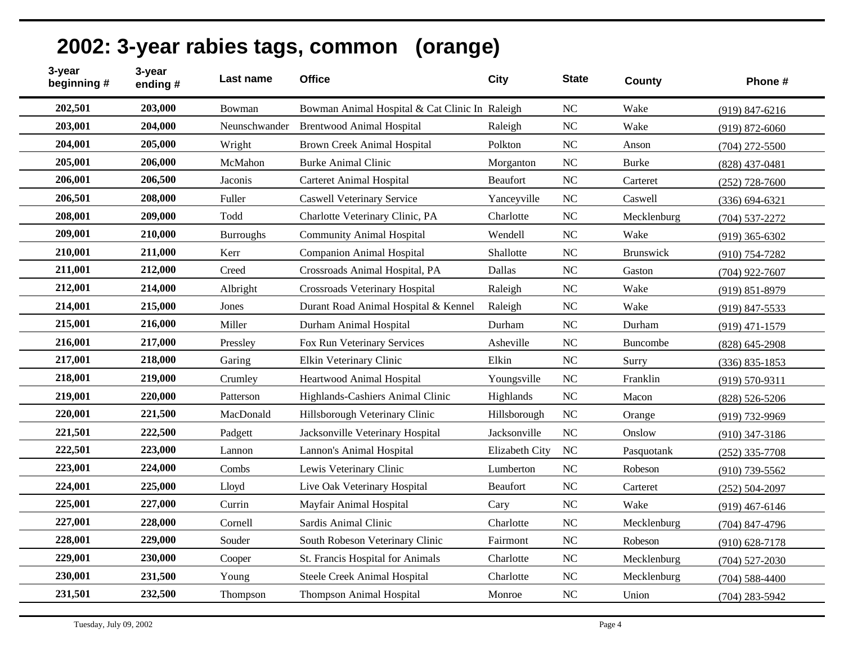|  | 2002: 3-year rabies tags, common (orange) |  |
|--|-------------------------------------------|--|
|--|-------------------------------------------|--|

| 3-year<br>beginning # | 3-year<br>ending# | Last name        | <b>Office</b>                                  | <b>City</b>     | <b>State</b>   | <b>County</b> | Phone #            |
|-----------------------|-------------------|------------------|------------------------------------------------|-----------------|----------------|---------------|--------------------|
| 202,501               | 203,000           | Bowman           | Bowman Animal Hospital & Cat Clinic In Raleigh |                 | NC             | Wake          | $(919) 847 - 6216$ |
| 203,001               | 204,000           | Neunschwander    | <b>Brentwood Animal Hospital</b>               | Raleigh         | NC             | Wake          | $(919) 872 - 6060$ |
| 204,001               | 205,000           | Wright           | <b>Brown Creek Animal Hospital</b>             | Polkton         | <b>NC</b>      | Anson         | $(704)$ 272-5500   |
| 205,001               | 206,000           | McMahon          | <b>Burke Animal Clinic</b>                     | Morganton       | <b>NC</b>      | <b>Burke</b>  | $(828)$ 437-0481   |
| 206,001               | 206,500           | Jaconis          | <b>Carteret Animal Hospital</b>                | <b>Beaufort</b> | <b>NC</b>      | Carteret      | $(252)$ 728-7600   |
| 206,501               | 208,000           | Fuller           | <b>Caswell Veterinary Service</b>              | Yanceyville     | N <sub>C</sub> | Caswell       | $(336) 694 - 6321$ |
| 208,001               | 209,000           | Todd             | Charlotte Veterinary Clinic, PA                | Charlotte       | <b>NC</b>      | Mecklenburg   | $(704) 537 - 2272$ |
| 209,001               | 210,000           | <b>Burroughs</b> | <b>Community Animal Hospital</b>               | Wendell         | N <sub>C</sub> | Wake          | $(919)$ 365-6302   |
| 210,001               | 211,000           | Kerr             | <b>Companion Animal Hospital</b>               | Shallotte       | <b>NC</b>      | Brunswick     | $(910)$ 754-7282   |
| 211,001               | 212,000           | Creed            | Crossroads Animal Hospital, PA                 | Dallas          | <b>NC</b>      | Gaston        | $(704)$ 922-7607   |
| 212,001               | 214,000           | Albright         | Crossroads Veterinary Hospital                 | Raleigh         | <b>NC</b>      | Wake          | $(919) 851 - 8979$ |
| 214,001               | 215,000           | Jones            | Durant Road Animal Hospital & Kennel           | Raleigh         | <b>NC</b>      | Wake          | $(919)$ 847-5533   |
| 215,001               | 216,000           | Miller           | Durham Animal Hospital                         | Durham          | N <sub>C</sub> | Durham        | $(919)$ 471-1579   |
| 216,001               | 217,000           | Pressley         | Fox Run Veterinary Services                    | Asheville       | <b>NC</b>      | Buncombe      | $(828)$ 645-2908   |
| 217,001               | 218,000           | Garing           | Elkin Veterinary Clinic                        | Elkin           | N <sub>C</sub> | Surry         | $(336) 835 - 1853$ |
| 218,001               | 219,000           | Crumley          | Heartwood Animal Hospital                      | Youngsville     | NC             | Franklin      | $(919) 570 - 9311$ |
| 219,001               | 220,000           | Patterson        | Highlands-Cashiers Animal Clinic               | Highlands       | <b>NC</b>      | Macon         | $(828) 526 - 5206$ |
| 220,001               | 221,500           | MacDonald        | Hillsborough Veterinary Clinic                 | Hillsborough    | N <sub>C</sub> | Orange        | (919) 732-9969     |
| 221,501               | 222,500           | Padgett          | Jacksonville Veterinary Hospital               | Jacksonville    | <b>NC</b>      | Onslow        | $(910)$ 347-3186   |
| 222,501               | 223,000           | Lannon           | Lannon's Animal Hospital                       | Elizabeth City  | <b>NC</b>      | Pasquotank    | $(252)$ 335-7708   |
| 223,001               | 224,000           | Combs            | Lewis Veterinary Clinic                        | Lumberton       | N <sub>C</sub> | Robeson       | $(910)$ 739-5562   |
| 224,001               | 225,000           | Lloyd            | Live Oak Veterinary Hospital                   | Beaufort        | NC             | Carteret      | $(252) 504 - 2097$ |
| 225,001               | 227,000           | Currin           | Mayfair Animal Hospital                        | Cary            | <b>NC</b>      | Wake          | $(919)$ 467-6146   |
| 227,001               | 228,000           | Cornell          | Sardis Animal Clinic                           | Charlotte       | N <sub>C</sub> | Mecklenburg   | $(704)$ 847-4796   |
| 228,001               | 229,000           | Souder           | South Robeson Veterinary Clinic                | Fairmont        | N <sub>C</sub> | Robeson       | $(910) 628 - 7178$ |
| 229,001               | 230,000           | Cooper           | St. Francis Hospital for Animals               | Charlotte       | <b>NC</b>      | Mecklenburg   | $(704)$ 527-2030   |
| 230,001               | 231,500           | Young            | Steele Creek Animal Hospital                   | Charlotte       | <b>NC</b>      | Mecklenburg   | $(704) 588 - 4400$ |
| 231,501               | 232,500           | Thompson         | Thompson Animal Hospital                       | Monroe          | <b>NC</b>      | Union         | $(704)$ 283-5942   |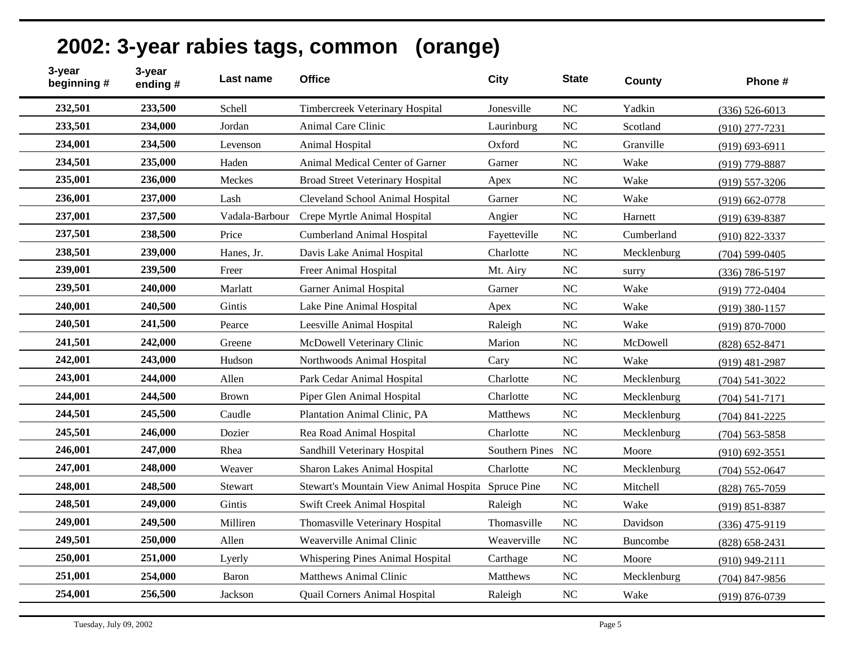| 3-year<br>beginning # | 3-year<br>ending# | Last name      | <b>Office</b>                                      | <b>City</b>     | <b>State</b>   | County          | Phone #            |
|-----------------------|-------------------|----------------|----------------------------------------------------|-----------------|----------------|-----------------|--------------------|
| 232,501               | 233,500           | Schell         | Timbercreek Veterinary Hospital                    | Jonesville      | N <sub>C</sub> | Yadkin          | $(336) 526 - 6013$ |
| 233,501               | 234,000           | Jordan         | Animal Care Clinic                                 | Laurinburg      | <b>NC</b>      | Scotland        | $(910)$ 277-7231   |
| 234,001               | 234,500           | Levenson       | Animal Hospital                                    | Oxford          | N <sub>C</sub> | Granville       | $(919) 693 - 6911$ |
| 234,501               | 235,000           | Haden          | Animal Medical Center of Garner                    | Garner          | <b>NC</b>      | Wake            | $(919)$ 779-8887   |
| 235,001               | 236,000           | Meckes         | <b>Broad Street Veterinary Hospital</b>            | Apex            | NC             | Wake            | $(919) 557 - 3206$ |
| 236,001               | 237,000           | Lash           | Cleveland School Animal Hospital                   | Garner          | NC             | Wake            | $(919) 662 - 0778$ |
| 237,001               | 237,500           | Vadala-Barbour | Crepe Myrtle Animal Hospital                       | Angier          | NC             | Harnett         | $(919)$ 639-8387   |
| 237,501               | 238,500           | Price          | <b>Cumberland Animal Hospital</b>                  | Fayetteville    | <b>NC</b>      | Cumberland      | $(910) 822 - 3337$ |
| 238,501               | 239,000           | Hanes, Jr.     | Davis Lake Animal Hospital                         | Charlotte       | <b>NC</b>      | Mecklenburg     | $(704)$ 599-0405   |
| 239,001               | 239,500           | Freer          | Freer Animal Hospital                              | Mt. Airy        | $\rm NC$       | surry           | $(336)$ 786-5197   |
| 239,501               | 240,000           | Marlatt        | <b>Garner Animal Hospital</b>                      | Garner          | NC             | Wake            | (919) 772-0404     |
| 240,001               | 240,500           | Gintis         | Lake Pine Animal Hospital                          | Apex            | <b>NC</b>      | Wake            | $(919)$ 380-1157   |
| 240,501               | 241,500           | Pearce         | Leesville Animal Hospital                          | Raleigh         | NC             | Wake            | $(919) 870 - 7000$ |
| 241,501               | 242,000           | Greene         | McDowell Veterinary Clinic                         | Marion          | <b>NC</b>      | McDowell        | $(828) 652 - 8471$ |
| 242,001               | 243,000           | Hudson         | Northwoods Animal Hospital                         | Cary            | <b>NC</b>      | Wake            | $(919)$ 481-2987   |
| 243,001               | 244,000           | Allen          | Park Cedar Animal Hospital                         | Charlotte       | NC             | Mecklenburg     | $(704)$ 541-3022   |
| 244,001               | 244,500           | <b>Brown</b>   | Piper Glen Animal Hospital                         | Charlotte       | <b>NC</b>      | Mecklenburg     | $(704) 541 - 7171$ |
| 244,501               | 245,500           | Caudle         | Plantation Animal Clinic, PA                       | <b>Matthews</b> | <b>NC</b>      | Mecklenburg     | $(704)$ 841-2225   |
| 245,501               | 246,000           | Dozier         | Rea Road Animal Hospital                           | Charlotte       | NC             | Mecklenburg     | $(704)$ 563-5858   |
| 246,001               | 247,000           | Rhea           | Sandhill Veterinary Hospital                       | Southern Pines  | NC             | Moore           | $(910)$ 692-3551   |
| 247,001               | 248,000           | Weaver         | Sharon Lakes Animal Hospital                       | Charlotte       | <b>NC</b>      | Mecklenburg     | $(704) 552 - 0647$ |
| 248,001               | 248,500           | Stewart        | Stewart's Mountain View Animal Hospita Spruce Pine |                 | <b>NC</b>      | Mitchell        | (828) 765-7059     |
| 248,501               | 249,000           | Gintis         | <b>Swift Creek Animal Hospital</b>                 | Raleigh         | <b>NC</b>      | Wake            | $(919) 851 - 8387$ |
| 249,001               | 249,500           | Milliren       | Thomasville Veterinary Hospital                    | Thomasville     | NC             | Davidson        | $(336)$ 475-9119   |
| 249,501               | 250,000           | Allen          | Weaverville Animal Clinic                          | Weaverville     | NC             | <b>Buncombe</b> | $(828) 658 - 2431$ |
| 250,001               | 251,000           | Lyerly         | Whispering Pines Animal Hospital                   | Carthage        | N <sub>C</sub> | Moore           | $(910)$ 949-2111   |
| 251,001               | 254,000           | Baron          | <b>Matthews Animal Clinic</b>                      | <b>Matthews</b> | NC             | Mecklenburg     | $(704)$ 847-9856   |
| 254,001               | 256,500           | Jackson        | Quail Corners Animal Hospital                      | Raleigh         | NC             | Wake            | $(919) 876 - 0739$ |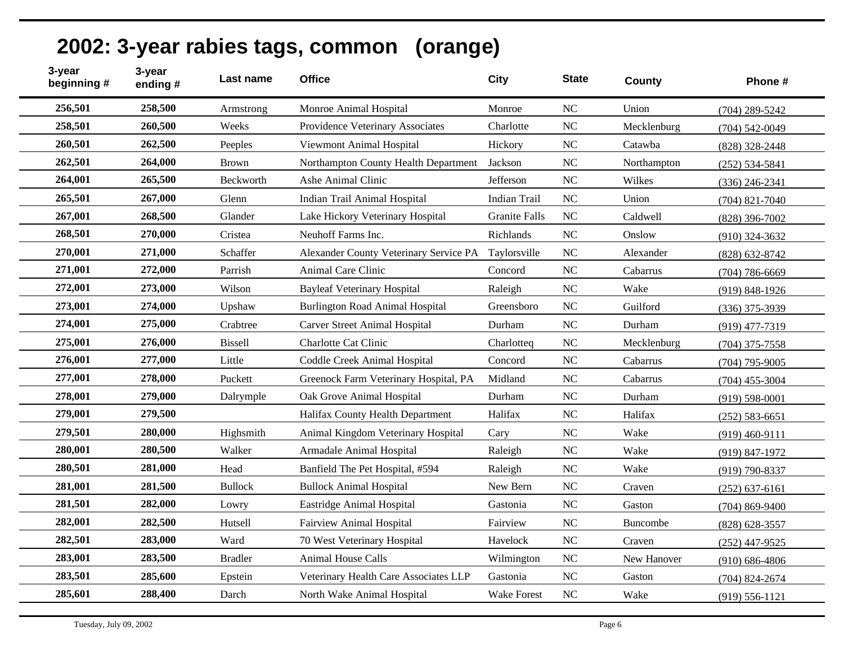#### **Last name Office City State County Phone # 3-year ending # 3-year beginning # 256,501 258,500** Armstrong Monroe Animal Hospital Monroe NC Union (704) 289-5242 **258,501 260,500** Weeks Providence Veterinary Associates Charlotte NC Mecklenburg (704) 542-0049 **260,501 262,500** Peeples Viewmont Animal Hospital Hickory NC Catawba (828) 328-2448 **262,501 264,000** Brown Northampton County Health Department Jackson NC Northampton (252) 534-5841 **264,001 265,500** Beckworth Ashe Animal Clinic Jefferson NC Wilkes (336) 246-2341 **265,501 267,000** Glenn Indian Trail Animal Hospital Indian Trail NC Union (704) 821-7040 **267,001 268,500** Glander Lake Hickory Veterinary Hospital Granite Falls NC Caldwell (828) 396-7002 **268,501 270,000** Cristea Neuhoff Farms Inc. Richlands NC Onslow (910) 324-3632 **270,001 271,000** Schaffer Alexander County Veterinary Service PA Taylorsville NC Alexander (828) 632-8742 **271,001 272,000** Parrish Animal Care Clinic Concord NC Cabarrus (704) 786-6669 **272,001 273,000** Wilson Bayleaf Veterinary Hospital Raleigh NC Wake (919) 848-1926 **273,001 274,000** Upshaw Burlington Road Animal Hospital Greensboro NC Guilford (336) 375-3939 **274,001 275,000** Crabtree Carver Street Animal Hospital Durham NC Durham (919) 477-7319 **275,001 276,000** Bissell Charlotte Cat Clinic Charlotteq NC Mecklenburg (704) 375-7558 **276,001 277,000** Little Coddle Creek Animal Hospital Concord NC Cabarrus (704) 795-9005 **277,001 278,000** Puckett Greenock Farm Veterinary Hospital, PA Midland NC Cabarrus (704) 455-3004 **278,001 279,000** Dalrymple Oak Grove Animal Hospital Durham NC Durham (919) 598-0001 **279,001 279,500** Halifax County Health Department Halifax NC Halifax (252) 583-6651 **279,501 280,000** Highsmith Animal Kingdom Veterinary Hospital Cary NC Wake (919) 460-9111 **280,001 280,500** Walker Armadale Animal Hospital Raleigh NC Wake (919) 847-1972 **280,501 281,000** Head Banfield The Pet Hospital, #594 Raleigh NC Wake (919) 790-8337 **281,001 281,500** Bullock Bullock Animal Hospital New Bern NC Craven (252) 637-6161 **281,501 282,000** Lowry Eastridge Animal Hospital Gastonia NC Gaston (704) 869-9400 **282,001 282,500** Hutsell Fairview Animal Hospital Fairview NC Buncombe (828) 628-3557 **282,501 283,000** Ward 70 West Veterinary Hospital Havelock NC Craven (252) 447-9525 **283,001 283,500** Bradler Animal House Calls Wilmington NC New Hanover (910) 686-4806 **283,501 285,600** Epstein Veterinary Health Care Associates LLP Gastonia NC Gaston (704) 824-2674 **285,601 288,400** Darch North Wake Animal Hospital Wake Forest NC Wake (919) 556-1121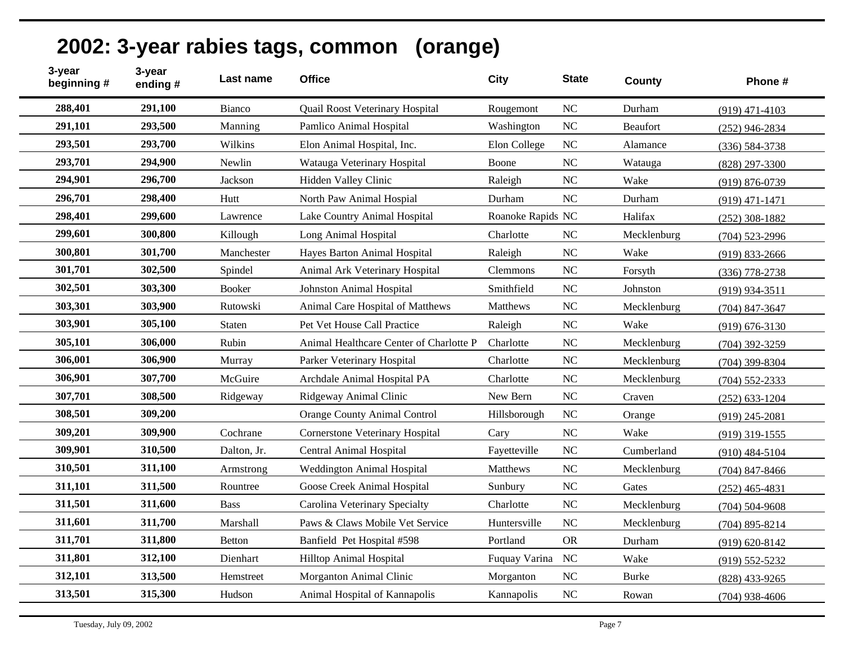| 3-year<br>beginning # | 3-year<br>ending# | Last name     | <b>Office</b>                           | <b>City</b>       | <b>State</b>   | County          | Phone #            |
|-----------------------|-------------------|---------------|-----------------------------------------|-------------------|----------------|-----------------|--------------------|
| 288,401               | 291,100           | Bianco        | Quail Roost Veterinary Hospital         | Rougemont         | N <sub>C</sub> | Durham          | $(919)$ 471-4103   |
| 291,101               | 293,500           | Manning       | Pamlico Animal Hospital                 | Washington        | <b>NC</b>      | <b>Beaufort</b> | $(252)$ 946-2834   |
| 293,501               | 293,700           | Wilkins       | Elon Animal Hospital, Inc.              | Elon College      | NC             | Alamance        | $(336) 584 - 3738$ |
| 293,701               | 294,900           | Newlin        | Watauga Veterinary Hospital             | Boone             | <b>NC</b>      | Watauga         | $(828)$ 297-3300   |
| 294,901               | 296,700           | Jackson       | Hidden Valley Clinic                    | Raleigh           | NC             | Wake            | $(919) 876 - 0739$ |
| 296,701               | 298,400           | Hutt          | North Paw Animal Hospial                | Durham            | <b>NC</b>      | Durham          | $(919)$ 471-1471   |
| 298,401               | 299,600           | Lawrence      | Lake Country Animal Hospital            | Roanoke Rapids NC |                | Halifax         | $(252)$ 308-1882   |
| 299,601               | 300,800           | Killough      | Long Animal Hospital                    | Charlotte         | N <sub>C</sub> | Mecklenburg     | $(704)$ 523-2996   |
| 300,801               | 301,700           | Manchester    | Hayes Barton Animal Hospital            | Raleigh           | <b>NC</b>      | Wake            | $(919) 833 - 2666$ |
| 301,701               | 302,500           | Spindel       | Animal Ark Veterinary Hospital          | <b>Clemmons</b>   | <b>NC</b>      | Forsyth         | $(336)$ 778-2738   |
| 302,501               | 303,300           | <b>Booker</b> | <b>Johnston Animal Hospital</b>         | Smithfield        | NC             | Johnston        | $(919)$ 934-3511   |
| 303,301               | 303,900           | Rutowski      | Animal Care Hospital of Matthews        | Matthews          | <b>NC</b>      | Mecklenburg     | $(704)$ 847-3647   |
| 303,901               | 305,100           | Staten        | Pet Vet House Call Practice             | Raleigh           | NC             | Wake            | $(919) 676 - 3130$ |
| 305,101               | 306,000           | Rubin         | Animal Healthcare Center of Charlotte P | Charlotte         | <b>NC</b>      | Mecklenburg     | $(704)$ 392-3259   |
| 306,001               | 306,900           | Murray        | Parker Veterinary Hospital              | Charlotte         | NC             | Mecklenburg     | $(704)$ 399-8304   |
| 306,901               | 307,700           | McGuire       | Archdale Animal Hospital PA             | Charlotte         | NC             | Mecklenburg     | $(704)$ 552-2333   |
| 307,701               | 308,500           | Ridgeway      | Ridgeway Animal Clinic                  | New Bern          | <b>NC</b>      | Craven          | $(252) 633 - 1204$ |
| 308,501               | 309,200           |               | Orange County Animal Control            | Hillsborough      | <b>NC</b>      | Orange          | $(919)$ 245-2081   |
| 309,201               | 309,900           | Cochrane      | <b>Cornerstone Veterinary Hospital</b>  | Cary              | NC             | Wake            | $(919)$ 319-1555   |
| 309,901               | 310,500           | Dalton, Jr.   | Central Animal Hospital                 | Fayetteville      | <b>NC</b>      | Cumberland      | $(910)$ 484-5104   |
| 310,501               | 311,100           | Armstrong     | Weddington Animal Hospital              | Matthews          | <b>NC</b>      | Mecklenburg     | $(704)$ 847-8466   |
| 311,101               | 311,500           | Rountree      | Goose Creek Animal Hospital             | Sunbury           | <b>NC</b>      | Gates           | $(252)$ 465-4831   |
| 311,501               | 311,600           | <b>Bass</b>   | Carolina Veterinary Specialty           | Charlotte         | <b>NC</b>      | Mecklenburg     | $(704) 504 - 9608$ |
| 311,601               | 311,700           | Marshall      | Paws & Claws Mobile Vet Service         | Huntersville      | <b>NC</b>      | Mecklenburg     | $(704)$ 895-8214   |
| 311,701               | 311,800           | <b>Betton</b> | Banfield Pet Hospital #598              | Portland          | <b>OR</b>      | Durham          | $(919) 620 - 8142$ |
| 311,801               | 312,100           | Dienhart      | Hilltop Animal Hospital                 | Fuquay Varina     | <b>NC</b>      | Wake            | $(919) 552 - 5232$ |
| 312,101               | 313,500           | Hemstreet     | Morganton Animal Clinic                 | Morganton         | NC             | <b>Burke</b>    | (828) 433-9265     |
| 313,501               | 315,300           | Hudson        | Animal Hospital of Kannapolis           | Kannapolis        | NC             | Rowan           | $(704)$ 938-4606   |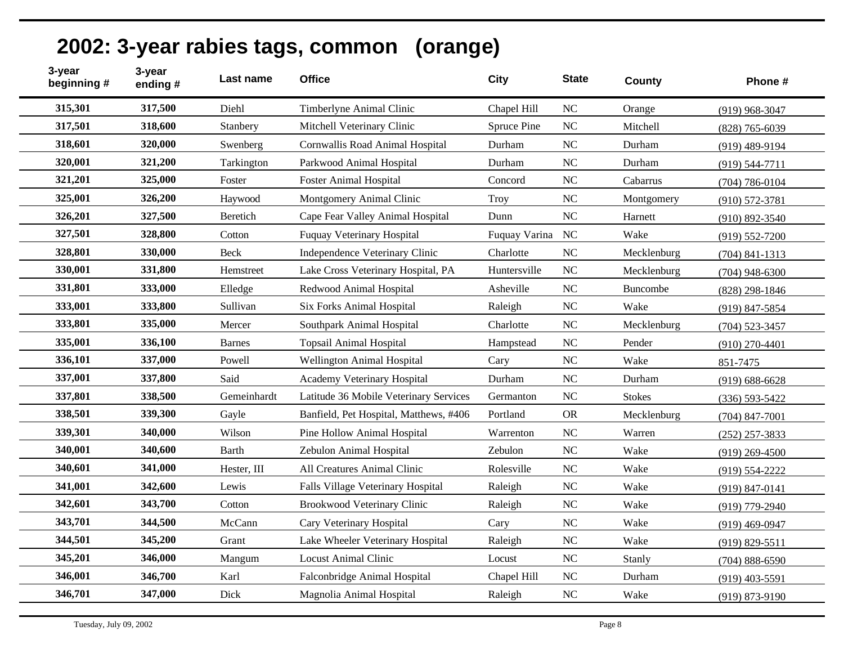| 3-year<br>beginning # | 3-year<br>ending# | Last name     | <b>Office</b>                          | <b>City</b>   | <b>State</b>   | County        | Phone #            |
|-----------------------|-------------------|---------------|----------------------------------------|---------------|----------------|---------------|--------------------|
| 315,301               | 317,500           | Diehl         | <b>Timberlyne Animal Clinic</b>        | Chapel Hill   | <b>NC</b>      | Orange        | $(919)$ 968-3047   |
| 317,501               | 318,600           | Stanbery      | Mitchell Veterinary Clinic             | Spruce Pine   | NC             | Mitchell      | $(828)$ 765-6039   |
| 318,601               | 320,000           | Swenberg      | Cornwallis Road Animal Hospital        | Durham        | NC             | Durham        | $(919)$ 489-9194   |
| 320,001               | 321,200           | Tarkington    | Parkwood Animal Hospital               | Durham        | N <sub>C</sub> | Durham        | $(919) 544 - 7711$ |
| 321,201               | 325,000           | Foster        | <b>Foster Animal Hospital</b>          | Concord       | NC             | Cabarrus      | $(704) 786 - 0104$ |
| 325,001               | 326,200           | Haywood       | Montgomery Animal Clinic               | <b>Troy</b>   | $\rm NC$       | Montgomery    | $(910) 572 - 3781$ |
| 326,201               | 327,500           | Beretich      | Cape Fear Valley Animal Hospital       | Dunn          | NC             | Harnett       | $(910) 892 - 3540$ |
| 327,501               | 328,800           | Cotton        | <b>Fuquay Veterinary Hospital</b>      | Fuquay Varina | NC             | Wake          | $(919) 552 - 7200$ |
| 328,801               | 330,000           | Beck          | Independence Veterinary Clinic         | Charlotte     | NC             | Mecklenburg   | $(704)$ 841-1313   |
| 330,001               | 331,800           | Hemstreet     | Lake Cross Veterinary Hospital, PA     | Huntersville  | NC             | Mecklenburg   | $(704)$ 948-6300   |
| 331,801               | 333,000           | Elledge       | Redwood Animal Hospital                | Asheville     | <b>NC</b>      | Buncombe      | $(828)$ 298-1846   |
| 333,001               | 333,800           | Sullivan      | Six Forks Animal Hospital              | Raleigh       | <b>NC</b>      | Wake          | $(919)$ 847-5854   |
| 333,801               | 335,000           | Mercer        | Southpark Animal Hospital              | Charlotte     | NC             | Mecklenburg   | $(704)$ 523-3457   |
| 335,001               | 336,100           | <b>Barnes</b> | <b>Topsail Animal Hospital</b>         | Hampstead     | <b>NC</b>      | Pender        | $(910)$ 270-4401   |
| 336,101               | 337,000           | Powell        | Wellington Animal Hospital             | Cary          | NC             | Wake          | 851-7475           |
| 337,001               | 337,800           | Said          | Academy Veterinary Hospital            | Durham        | NC             | Durham        | $(919) 688 - 6628$ |
| 337,801               | 338,500           | Gemeinhardt   | Latitude 36 Mobile Veterinary Services | Germanton     | NC             | <b>Stokes</b> | $(336) 593 - 5422$ |
| 338,501               | 339,300           | Gayle         | Banfield, Pet Hospital, Matthews, #406 | Portland      | <b>OR</b>      | Mecklenburg   | $(704)$ 847-7001   |
| 339,301               | 340,000           | Wilson        | Pine Hollow Animal Hospital            | Warrenton     | NC             | Warren        | $(252)$ 257-3833   |
| 340,001               | 340,600           | <b>Barth</b>  | Zebulon Animal Hospital                | Zebulon       | NC             | Wake          | $(919)$ 269-4500   |
| 340,601               | 341,000           | Hester, III   | All Creatures Animal Clinic            | Rolesville    | NC             | Wake          | $(919) 554 - 2222$ |
| 341,001               | 342,600           | Lewis         | Falls Village Veterinary Hospital      | Raleigh       | <b>NC</b>      | Wake          | $(919) 847 - 0141$ |
| 342,601               | 343,700           | Cotton        | Brookwood Veterinary Clinic            | Raleigh       | N <sub>C</sub> | Wake          | (919) 779-2940     |
| 343,701               | 344,500           | McCann        | Cary Veterinary Hospital               | Cary          | <b>NC</b>      | Wake          | $(919)$ 469-0947   |
| 344,501               | 345,200           | Grant         | Lake Wheeler Veterinary Hospital       | Raleigh       | NC             | Wake          | $(919) 829 - 5511$ |
| 345,201               | 346,000           | Mangum        | <b>Locust Animal Clinic</b>            | Locust        | NC             | Stanly        | $(704)$ 888-6590   |
| 346,001               | 346,700           | Karl          | Falconbridge Animal Hospital           | Chapel Hill   | <b>NC</b>      | Durham        | $(919)$ 403-5591   |
| 346,701               | 347,000           | Dick          | Magnolia Animal Hospital               | Raleigh       | <b>NC</b>      | Wake          | $(919) 873 - 9190$ |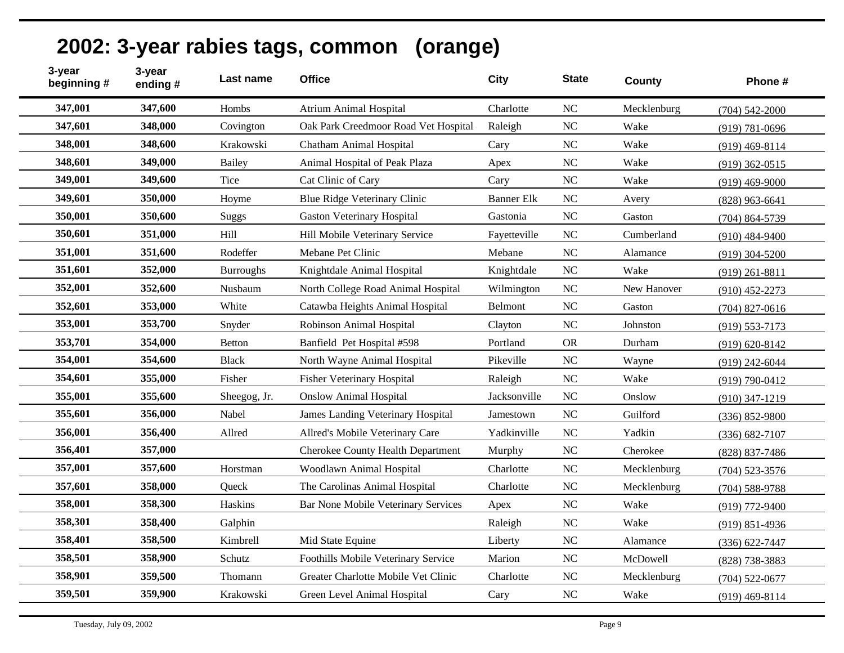| 3-year<br>beginning # | 3-year<br>ending# | Last name        | <b>Office</b>                            | <b>City</b>       | <b>State</b>   | County      | Phone #            |
|-----------------------|-------------------|------------------|------------------------------------------|-------------------|----------------|-------------|--------------------|
| 347,001               | 347,600           | Hombs            | <b>Atrium Animal Hospital</b>            | Charlotte         | N <sub>C</sub> | Mecklenburg | $(704)$ 542-2000   |
| 347,601               | 348,000           | Covington        | Oak Park Creedmoor Road Vet Hospital     | Raleigh           | N <sub>C</sub> | Wake        | $(919) 781 - 0696$ |
| 348,001               | 348,600           | Krakowski        | <b>Chatham Animal Hospital</b>           | Cary              | <b>NC</b>      | Wake        | $(919)$ 469-8114   |
| 348,601               | 349,000           | Bailey           | Animal Hospital of Peak Plaza            | Apex              | <b>NC</b>      | Wake        | $(919)$ 362-0515   |
| 349,001               | 349,600           | Tice             | Cat Clinic of Cary                       | Cary              | N <sub>C</sub> | Wake        | $(919)$ 469-9000   |
| 349,601               | 350,000           | Hoyme            | Blue Ridge Veterinary Clinic             | <b>Banner Elk</b> | N <sub>C</sub> | Avery       | $(828)$ 963-6641   |
| 350,001               | 350,600           | Suggs            | <b>Gaston Veterinary Hospital</b>        | Gastonia          | <b>NC</b>      | Gaston      | $(704)$ 864-5739   |
| 350,601               | 351,000           | Hill             | Hill Mobile Veterinary Service           | Fayetteville      | N <sub>C</sub> | Cumberland  | $(910)$ 484-9400   |
| 351,001               | 351,600           | Rodeffer         | Mebane Pet Clinic                        | Mebane            | <b>NC</b>      | Alamance    | $(919)$ 304-5200   |
| 351,601               | 352,000           | <b>Burroughs</b> | Knightdale Animal Hospital               | Knightdale        | <b>NC</b>      | Wake        | $(919)$ 261-8811   |
| 352,001               | 352,600           | Nusbaum          | North College Road Animal Hospital       | Wilmington        | <b>NC</b>      | New Hanover | $(910)$ 452-2273   |
| 352,601               | 353,000           | White            | Catawba Heights Animal Hospital          | Belmont           | N <sub>C</sub> | Gaston      | $(704)$ 827-0616   |
| 353,001               | 353,700           | Snyder           | Robinson Animal Hospital                 | Clayton           | N <sub>C</sub> | Johnston    | $(919) 553 - 7173$ |
| 353,701               | 354,000           | Betton           | Banfield Pet Hospital #598               | Portland          | <b>OR</b>      | Durham      | $(919) 620 - 8142$ |
| 354,001               | 354,600           | <b>Black</b>     | North Wayne Animal Hospital              | Pikeville         | <b>NC</b>      | Wayne       | $(919)$ 242-6044   |
| 354,601               | 355,000           | Fisher           | <b>Fisher Veterinary Hospital</b>        | Raleigh           | <b>NC</b>      | Wake        | $(919) 790 - 0412$ |
| 355,001               | 355,600           | Sheegog, Jr.     | <b>Onslow Animal Hospital</b>            | Jacksonville      | <b>NC</b>      | Onslow      | $(910)$ 347-1219   |
| 355,601               | 356,000           | Nabel            | James Landing Veterinary Hospital        | Jamestown         | <b>NC</b>      | Guilford    | $(336) 852 - 9800$ |
| 356,001               | 356,400           | Allred           | Allred's Mobile Veterinary Care          | Yadkinville       | <b>NC</b>      | Yadkin      | $(336) 682 - 7107$ |
| 356,401               | 357,000           |                  | <b>Cherokee County Health Department</b> | Murphy            | N <sub>C</sub> | Cherokee    | (828) 837-7486     |
| 357,001               | 357,600           | Horstman         | Woodlawn Animal Hospital                 | Charlotte         | N <sub>C</sub> | Mecklenburg | $(704)$ 523-3576   |
| 357,601               | 358,000           | Oueck            | The Carolinas Animal Hospital            | Charlotte         | <b>NC</b>      | Mecklenburg | $(704)$ 588-9788   |
| 358,001               | 358,300           | Haskins          | Bar None Mobile Veterinary Services      | Apex              | N <sub>C</sub> | Wake        | $(919)$ 772-9400   |
| 358,301               | 358,400           | Galphin          |                                          | Raleigh           | <b>NC</b>      | Wake        | $(919) 851 - 4936$ |
| 358,401               | 358,500           | Kimbrell         | Mid State Equine                         | Liberty           | <b>NC</b>      | Alamance    | $(336) 622 - 7447$ |
| 358,501               | 358,900           | Schutz           | Foothills Mobile Veterinary Service      | Marion            | N <sub>C</sub> | McDowell    | (828) 738-3883     |
| 358,901               | 359,500           | Thomann          | Greater Charlotte Mobile Vet Clinic      | Charlotte         | <b>NC</b>      | Mecklenburg | $(704)$ 522-0677   |
| 359,501               | 359,900           | Krakowski        | Green Level Animal Hospital              | Cary              | NC             | Wake        | $(919)$ 469-8114   |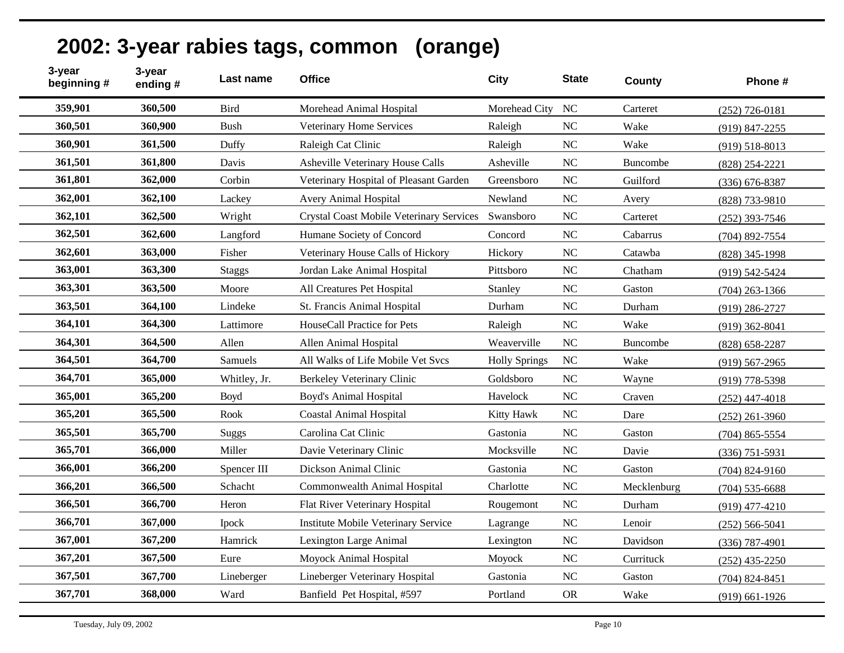| 3-year<br>beginning # | 3-year<br>ending# | Last name     | <b>Office</b>                                   | <b>City</b>          | <b>State</b> | County          | Phone #            |
|-----------------------|-------------------|---------------|-------------------------------------------------|----------------------|--------------|-----------------|--------------------|
| 359,901               | 360,500           | <b>Bird</b>   | Morehead Animal Hospital                        | Morehead City        | <b>NC</b>    | Carteret        | $(252)$ 726-0181   |
| 360,501               | 360,900           | <b>Bush</b>   | Veterinary Home Services                        | Raleigh              | <b>NC</b>    | Wake            | $(919)$ 847-2255   |
| 360,901               | 361,500           | Duffy         | Raleigh Cat Clinic                              | Raleigh              | <b>NC</b>    | Wake            | $(919) 518 - 8013$ |
| 361,501               | 361,800           | Davis         | Asheville Veterinary House Calls                | Asheville            | NC           | Buncombe        | $(828)$ 254-2221   |
| 361,801               | 362,000           | Corbin        | Veterinary Hospital of Pleasant Garden          | Greensboro           | NC           | Guilford        | $(336)$ 676-8387   |
| 362,001               | 362,100           | Lackey        | <b>Avery Animal Hospital</b>                    | Newland              | <b>NC</b>    | Avery           | (828) 733-9810     |
| 362,101               | 362,500           | Wright        | <b>Crystal Coast Mobile Veterinary Services</b> | Swansboro            | <b>NC</b>    | Carteret        | $(252)$ 393-7546   |
| 362,501               | 362,600           | Langford      | Humane Society of Concord                       | Concord              | <b>NC</b>    | Cabarrus        | $(704)$ 892-7554   |
| 362,601               | 363,000           | Fisher        | Veterinary House Calls of Hickory               | Hickory              | NC           | Catawba         | $(828)$ 345-1998   |
| 363,001               | 363,300           | <b>Staggs</b> | Jordan Lake Animal Hospital                     | Pittsboro            | NC           | Chatham         | (919) 542-5424     |
| 363,301               | 363,500           | Moore         | All Creatures Pet Hospital                      | Stanley              | <b>NC</b>    | Gaston          | $(704)$ 263-1366   |
| 363,501               | 364,100           | Lindeke       | St. Francis Animal Hospital                     | Durham               | <b>NC</b>    | Durham          | $(919)$ 286-2727   |
| 364,101               | 364,300           | Lattimore     | HouseCall Practice for Pets                     | Raleigh              | <b>NC</b>    | Wake            | $(919)$ 362-8041   |
| 364,301               | 364,500           | Allen         | Allen Animal Hospital                           | Weaverville          | <b>NC</b>    | <b>Buncombe</b> | $(828)$ 658-2287   |
| 364,501               | 364,700           | Samuels       | All Walks of Life Mobile Vet Svcs               | <b>Holly Springs</b> | NC           | Wake            | $(919) 567 - 2965$ |
| 364,701               | 365,000           | Whitley, Jr.  | Berkeley Veterinary Clinic                      | Goldsboro            | NC           | Wayne           | $(919)$ 778-5398   |
| 365,001               | 365,200           | Boyd          | <b>Boyd's Animal Hospital</b>                   | Havelock             | NC           | Craven          | $(252)$ 447-4018   |
| 365,201               | 365,500           | Rook          | <b>Coastal Animal Hospital</b>                  | Kitty Hawk           | <b>NC</b>    | Dare            | $(252)$ 261-3960   |
| 365,501               | 365,700           | Suggs         | Carolina Cat Clinic                             | Gastonia             | <b>NC</b>    | Gaston          | $(704)$ 865-5554   |
| 365,701               | 366,000           | Miller        | Davie Veterinary Clinic                         | Mocksville           | <b>NC</b>    | Davie           | $(336)$ 751-5931   |
| 366,001               | 366,200           | Spencer III   | Dickson Animal Clinic                           | Gastonia             | NC           | Gaston          | $(704)$ 824-9160   |
| 366,201               | 366,500           | Schacht       | Commonwealth Animal Hospital                    | Charlotte            | <b>NC</b>    | Mecklenburg     | $(704)$ 535-6688   |
| 366,501               | 366,700           | Heron         | Flat River Veterinary Hospital                  | Rougemont            | NC           | Durham          | $(919)$ 477-4210   |
| 366,701               | 367,000           | Ipock         | Institute Mobile Veterinary Service             | Lagrange             | <b>NC</b>    | Lenoir          | $(252) 566 - 5041$ |
| 367,001               | 367,200           | Hamrick       | Lexington Large Animal                          | Lexington            | <b>NC</b>    | Davidson        | $(336)$ 787-4901   |
| 367,201               | 367,500           | Eure          | Moyock Animal Hospital                          | Moyock               | NC           | Currituck       | $(252)$ 435-2250   |
| 367,501               | 367,700           | Lineberger    | Lineberger Veterinary Hospital                  | Gastonia             | <b>NC</b>    | Gaston          | $(704)$ 824-8451   |
| 367,701               | 368,000           | Ward          | Banfield Pet Hospital, #597                     | Portland             | <b>OR</b>    | Wake            | $(919)$ 661-1926   |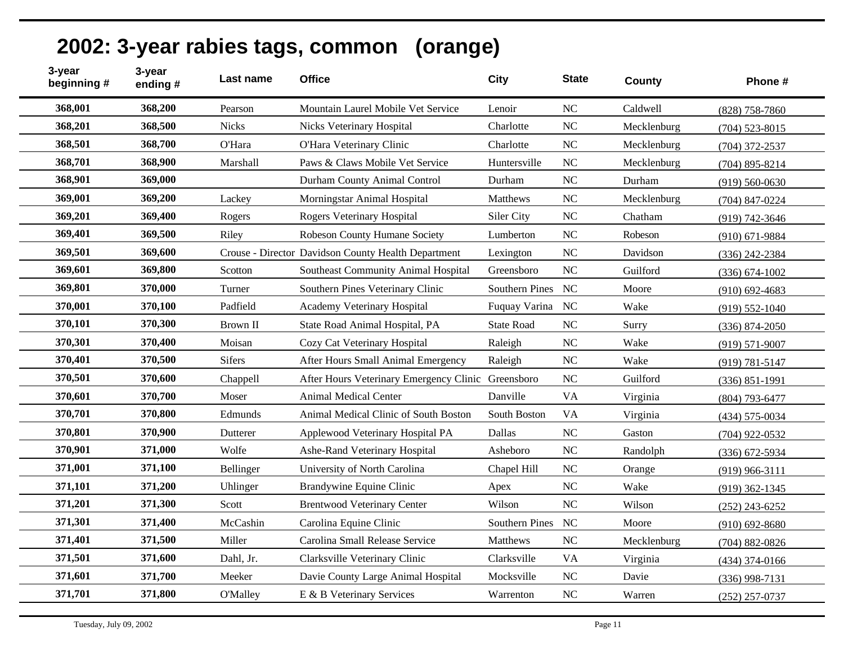| 3-year<br>beginning # | 3-year<br>ending# | Last name       | <b>Office</b>                                       | <b>City</b>       | <b>State</b>   | County      | Phone #            |
|-----------------------|-------------------|-----------------|-----------------------------------------------------|-------------------|----------------|-------------|--------------------|
| 368,001               | 368,200           | Pearson         | Mountain Laurel Mobile Vet Service                  | Lenoir            | NC             | Caldwell    | $(828)$ 758-7860   |
| 368,201               | 368,500           | <b>Nicks</b>    | Nicks Veterinary Hospital                           | Charlotte         | <b>NC</b>      | Mecklenburg | $(704)$ 523-8015   |
| 368,501               | 368,700           | O'Hara          | O'Hara Veterinary Clinic                            | Charlotte         | <b>NC</b>      | Mecklenburg | $(704)$ 372-2537   |
| 368,701               | 368,900           | Marshall        | Paws & Claws Mobile Vet Service                     | Huntersville      | <b>NC</b>      | Mecklenburg | $(704)$ 895-8214   |
| 368,901               | 369,000           |                 | Durham County Animal Control                        | Durham            | N <sub>C</sub> | Durham      | $(919) 560 - 0630$ |
| 369,001               | 369,200           | Lackey          | Morningstar Animal Hospital                         | <b>Matthews</b>   | <b>NC</b>      | Mecklenburg | $(704)$ 847-0224   |
| 369,201               | 369,400           | Rogers          | Rogers Veterinary Hospital                          | Siler City        | NC             | Chatham     | $(919) 742 - 3646$ |
| 369,401               | 369,500           | Riley           | Robeson County Humane Society                       | Lumberton         | <b>NC</b>      | Robeson     | $(910)$ 671-9884   |
| 369,501               | 369,600           |                 | Crouse - Director Davidson County Health Department | Lexington         | <b>NC</b>      | Davidson    | $(336)$ 242-2384   |
| 369,601               | 369,800           | Scotton         | Southeast Community Animal Hospital                 | Greensboro        | <b>NC</b>      | Guilford    | $(336) 674 - 1002$ |
| 369,801               | 370,000           | Turner          | Southern Pines Veterinary Clinic                    | Southern Pines    | NC             | Moore       | $(910)$ 692-4683   |
| 370,001               | 370,100           | Padfield        | Academy Veterinary Hospital                         | Fuquay Varina     | <b>NC</b>      | Wake        | $(919) 552 - 1040$ |
| 370,101               | 370,300           | <b>Brown II</b> | State Road Animal Hospital, PA                      | <b>State Road</b> | NC             | Surry       | $(336) 874 - 2050$ |
| 370,301               | 370,400           | Moisan          | Cozy Cat Veterinary Hospital                        | Raleigh           | <b>NC</b>      | Wake        | $(919) 571 - 9007$ |
| 370,401               | 370,500           | <b>Sifers</b>   | After Hours Small Animal Emergency                  | Raleigh           | <b>NC</b>      | Wake        | $(919) 781 - 5147$ |
| 370,501               | 370,600           | Chappell        | After Hours Veterinary Emergency Clinic Greensboro  |                   | <b>NC</b>      | Guilford    | $(336) 851 - 1991$ |
| 370,601               | 370,700           | Moser           | <b>Animal Medical Center</b>                        | Danville          | <b>VA</b>      | Virginia    | $(804)$ 793-6477   |
| 370,701               | 370,800           | Edmunds         | Animal Medical Clinic of South Boston               | South Boston      | <b>VA</b>      | Virginia    | $(434) 575 - 0034$ |
| 370,801               | 370,900           | Dutterer        | Applewood Veterinary Hospital PA                    | Dallas            | NC             | Gaston      | $(704)$ 922-0532   |
| 370,901               | 371,000           | Wolfe           | Ashe-Rand Veterinary Hospital                       | Asheboro          | <b>NC</b>      | Randolph    | $(336)$ 672-5934   |
| 371,001               | 371,100           | Bellinger       | University of North Carolina                        | Chapel Hill       | <b>NC</b>      | Orange      | $(919)$ 966-3111   |
| 371,101               | 371,200           | Uhlinger        | Brandywine Equine Clinic                            | Apex              | <b>NC</b>      | Wake        | $(919)$ 362-1345   |
| 371,201               | 371,300           | Scott           | <b>Brentwood Veterinary Center</b>                  | Wilson            | <b>NC</b>      | Wilson      | $(252)$ 243-6252   |
| 371,301               | 371,400           | McCashin        | Carolina Equine Clinic                              | Southern Pines    | NC             | Moore       | $(910)$ 692-8680   |
| 371,401               | 371,500           | Miller          | Carolina Small Release Service                      | <b>Matthews</b>   | <b>NC</b>      | Mecklenburg | $(704) 882 - 0826$ |
| 371,501               | 371,600           | Dahl, Jr.       | Clarksville Veterinary Clinic                       | Clarksville       | <b>VA</b>      | Virginia    | $(434)$ 374-0166   |
| 371,601               | 371,700           | Meeker          | Davie County Large Animal Hospital                  | Mocksville        | NC             | Davie       | $(336)$ 998-7131   |
| 371,701               | 371,800           | <b>O'Malley</b> | E & B Veterinary Services                           | Warrenton         | <b>NC</b>      | Warren      | $(252)$ 257-0737   |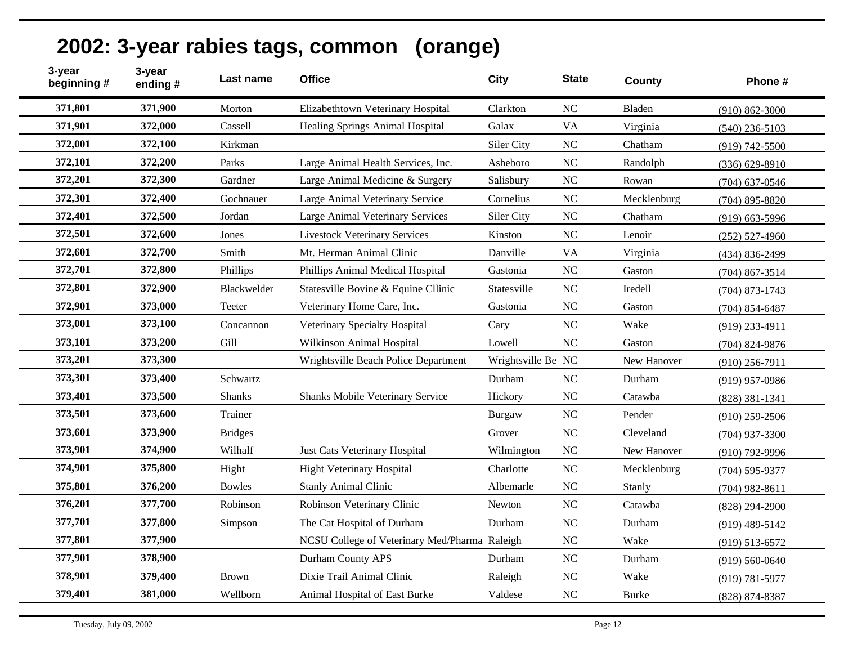| 2002: 3-year rabies tags, common (orange) |  |
|-------------------------------------------|--|
|-------------------------------------------|--|

| 3-year<br>beginning # | 3-year<br>ending# | Last name      | <b>Office</b>                                 | <b>City</b>        | <b>State</b>   | County       | Phone #            |
|-----------------------|-------------------|----------------|-----------------------------------------------|--------------------|----------------|--------------|--------------------|
| 371,801               | 371,900           | Morton         | Elizabethtown Veterinary Hospital             | Clarkton           | N <sub>C</sub> | Bladen       | $(910) 862 - 3000$ |
| 371,901               | 372,000           | Cassell        | <b>Healing Springs Animal Hospital</b>        | Galax              | <b>VA</b>      | Virginia     | $(540)$ 236-5103   |
| 372,001               | 372,100           | Kirkman        |                                               | Siler City         | NC             | Chatham      | $(919) 742 - 5500$ |
| 372,101               | 372,200           | Parks          | Large Animal Health Services, Inc.            | Asheboro           | N <sub>C</sub> | Randolph     | $(336) 629 - 8910$ |
| 372,201               | 372,300           | Gardner        | Large Animal Medicine & Surgery               | Salisbury          | N <sub>C</sub> | Rowan        | $(704)$ 637-0546   |
| 372,301               | 372,400           | Gochnauer      | Large Animal Veterinary Service               | Cornelius          | <b>NC</b>      | Mecklenburg  | $(704)$ 895-8820   |
| 372,401               | 372,500           | Jordan         | Large Animal Veterinary Services              | Siler City         | N <sub>C</sub> | Chatham      | $(919)$ 663-5996   |
| 372,501               | 372,600           | Jones          | <b>Livestock Veterinary Services</b>          | Kinston            | <b>NC</b>      | Lenoir       | $(252)$ 527-4960   |
| 372,601               | 372,700           | Smith          | Mt. Herman Animal Clinic                      | Danville           | <b>VA</b>      | Virginia     | $(434) 836 - 2499$ |
| 372,701               | 372,800           | Phillips       | Phillips Animal Medical Hospital              | Gastonia           | $\rm NC$       | Gaston       | $(704)$ 867-3514   |
| 372,801               | 372,900           | Blackwelder    | Statesville Bovine & Equine Cllinic           | Statesville        | NC             | Iredell      | $(704)$ 873-1743   |
| 372,901               | 373,000           | Teeter         | Veterinary Home Care, Inc.                    | Gastonia           | N <sub>C</sub> | Gaston       | $(704)$ 854-6487   |
| 373,001               | 373,100           | Concannon      | Veterinary Specialty Hospital                 | Cary               | NC             | Wake         | $(919)$ 233-4911   |
| 373,101               | 373,200           | Gill           | Wilkinson Animal Hospital                     | Lowell             | N <sub>C</sub> | Gaston       | $(704)$ 824-9876   |
| 373,201               | 373,300           |                | Wrightsville Beach Police Department          | Wrightsville Be NC |                | New Hanover  | $(910)$ 256-7911   |
| 373,301               | 373,400           | Schwartz       |                                               | Durham             | NC             | Durham       | $(919)$ 957-0986   |
| 373,401               | 373,500           | <b>Shanks</b>  | Shanks Mobile Veterinary Service              | Hickory            | NC             | Catawba      | $(828)$ 381-1341   |
| 373,501               | 373,600           | Trainer        |                                               | <b>Burgaw</b>      | N <sub>C</sub> | Pender       | $(910)$ 259-2506   |
| 373,601               | 373,900           | <b>Bridges</b> |                                               | Grover             | <b>NC</b>      | Cleveland    | $(704)$ 937-3300   |
| 373,901               | 374,900           | Wilhalf        | Just Cats Veterinary Hospital                 | Wilmington         | NC             | New Hanover  | $(910)$ 792-9996   |
| 374,901               | 375,800           | Hight          | <b>Hight Veterinary Hospital</b>              | Charlotte          | N <sub>C</sub> | Mecklenburg  | (704) 595-9377     |
| 375,801               | 376,200           | <b>Bowles</b>  | <b>Stanly Animal Clinic</b>                   | Albemarle          | N <sub>C</sub> | Stanly       | $(704)$ 982-8611   |
| 376,201               | 377,700           | Robinson       | Robinson Veterinary Clinic                    | Newton             | <b>NC</b>      | Catawba      | $(828) 294 - 2900$ |
| 377,701               | 377,800           | Simpson        | The Cat Hospital of Durham                    | Durham             | <b>NC</b>      | Durham       | $(919)$ 489-5142   |
| 377,801               | 377,900           |                | NCSU College of Veterinary Med/Pharma Raleigh |                    | NC             | Wake         | $(919) 513 - 6572$ |
| 377,901               | 378,900           |                | Durham County APS                             | Durham             | N <sub>C</sub> | Durham       | $(919) 560 - 0640$ |
| 378,901               | 379,400           | <b>Brown</b>   | Dixie Trail Animal Clinic                     | Raleigh            | <b>NC</b>      | Wake         | (919) 781-5977     |
| 379,401               | 381,000           | Wellborn       | Animal Hospital of East Burke                 | Valdese            | NC             | <b>Burke</b> | $(828) 874 - 8387$ |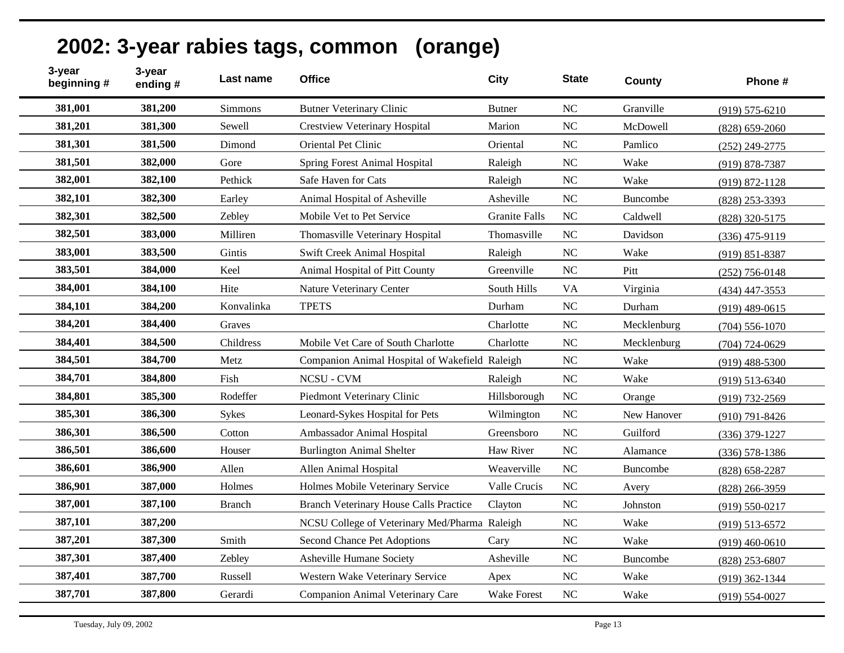| 2002: 3-year rabies tags, common (orange) |  |
|-------------------------------------------|--|
|-------------------------------------------|--|

| 3-year<br>3-year<br>beginning #<br>ending# | Last name      | <b>Office</b>                                  | <b>City</b>          | <b>State</b>   | <b>County</b>   | Phone #            |
|--------------------------------------------|----------------|------------------------------------------------|----------------------|----------------|-----------------|--------------------|
| 381,001<br>381,200                         | <b>Simmons</b> | <b>Butner Veterinary Clinic</b>                | <b>Butner</b>        | <b>NC</b>      | Granville       | $(919) 575 - 6210$ |
| 381,201<br>381,300                         | Sewell         | <b>Crestview Veterinary Hospital</b>           | Marion               | NC             | McDowell        | $(828) 659 - 2060$ |
| 381,301<br>381,500                         | Dimond         | Oriental Pet Clinic                            | Oriental             | N <sub>C</sub> | Pamlico         | $(252)$ 249-2775   |
| 381,501<br>382,000                         | Gore           | <b>Spring Forest Animal Hospital</b>           | Raleigh              | <b>NC</b>      | Wake            | (919) 878-7387     |
| 382,001<br>382,100                         | Pethick        | Safe Haven for Cats                            | Raleigh              | <b>NC</b>      | Wake            | $(919) 872 - 1128$ |
| 382,101<br>382,300                         | Earley         | Animal Hospital of Asheville                   | Asheville            | NC             | Buncombe        | (828) 253-3393     |
| 382,301<br>382,500                         | Zebley         | Mobile Vet to Pet Service                      | <b>Granite Falls</b> | NC             | Caldwell        | (828) 320-5175     |
| 382,501<br>383,000                         | Milliren       | Thomasville Veterinary Hospital                | Thomasville          | NC             | Davidson        | $(336)$ 475-9119   |
| 383,001<br>383,500                         | Gintis         | Swift Creek Animal Hospital                    | Raleigh              | <b>NC</b>      | Wake            | $(919) 851 - 8387$ |
| 383,501<br>384,000                         | Keel           | Animal Hospital of Pitt County                 | Greenville           | NC             | Pitt            | $(252)$ 756-0148   |
| 384,001<br>384,100                         | Hite           | Nature Veterinary Center                       | South Hills          | <b>VA</b>      | Virginia        | $(434)$ 447-3553   |
| 384,101<br>384,200                         | Konvalinka     | <b>TPETS</b>                                   | Durham               | NC             | Durham          | $(919)$ 489-0615   |
| 384,201<br>384,400                         | Graves         |                                                | Charlotte            | N <sub>C</sub> | Mecklenburg     | $(704) 556 - 1070$ |
| 384,401<br>384,500                         | Childress      | Mobile Vet Care of South Charlotte             | Charlotte            | <b>NC</b>      | Mecklenburg     | $(704) 724 - 0629$ |
| 384,501<br>384,700                         | Metz           | Companion Animal Hospital of Wakefield Raleigh |                      | NC             | Wake            | $(919)$ 488-5300   |
| 384,701<br>384,800                         | Fish           | <b>NCSU - CVM</b>                              | Raleigh              | NC             | Wake            | $(919)$ 513-6340   |
| 384,801<br>385,300                         | Rodeffer       | Piedmont Veterinary Clinic                     | Hillsborough         | <b>NC</b>      | Orange          | (919) 732-2569     |
| 385,301<br>386,300                         | <b>Sykes</b>   | Leonard-Sykes Hospital for Pets                | Wilmington           | NC             | New Hanover     | $(910)$ 791-8426   |
| 386,301<br>386,500                         | Cotton         | Ambassador Animal Hospital                     | Greensboro           | <b>NC</b>      | Guilford        | $(336)$ 379-1227   |
| 386,501<br>386,600                         | Houser         | <b>Burlington Animal Shelter</b>               | Haw River            | <b>NC</b>      | Alamance        | $(336)$ 578-1386   |
| 386,601<br>386,900                         | Allen          | Allen Animal Hospital                          | Weaverville          | N <sub>C</sub> | <b>Buncombe</b> | $(828) 658 - 2287$ |
| 386,901<br>387,000                         | Holmes         | Holmes Mobile Veterinary Service               | Valle Crucis         | NC             | Avery           | $(828)$ 266-3959   |
| 387,001<br>387,100                         | <b>Branch</b>  | <b>Branch Veterinary House Calls Practice</b>  | Clayton              | <b>NC</b>      | Johnston        | $(919) 550 - 0217$ |
| 387,101<br>387,200                         |                | NCSU College of Veterinary Med/Pharma Raleigh  |                      | NC             | Wake            | $(919) 513 - 6572$ |
| 387,201<br>387,300                         | Smith          | Second Chance Pet Adoptions                    | Cary                 | <b>NC</b>      | Wake            | $(919)$ 460-0610   |
| 387,301<br>387,400                         | Zebley         | Asheville Humane Society                       | Asheville            | <b>NC</b>      | <b>Buncombe</b> | $(828)$ 253-6807   |
| 387,401<br>387,700                         | Russell        | Western Wake Veterinary Service                | Apex                 | NC             | Wake            | $(919)$ 362-1344   |
| 387,701<br>387,800                         | Gerardi        | Companion Animal Veterinary Care               | Wake Forest          | <b>NC</b>      | Wake            | $(919) 554 - 0027$ |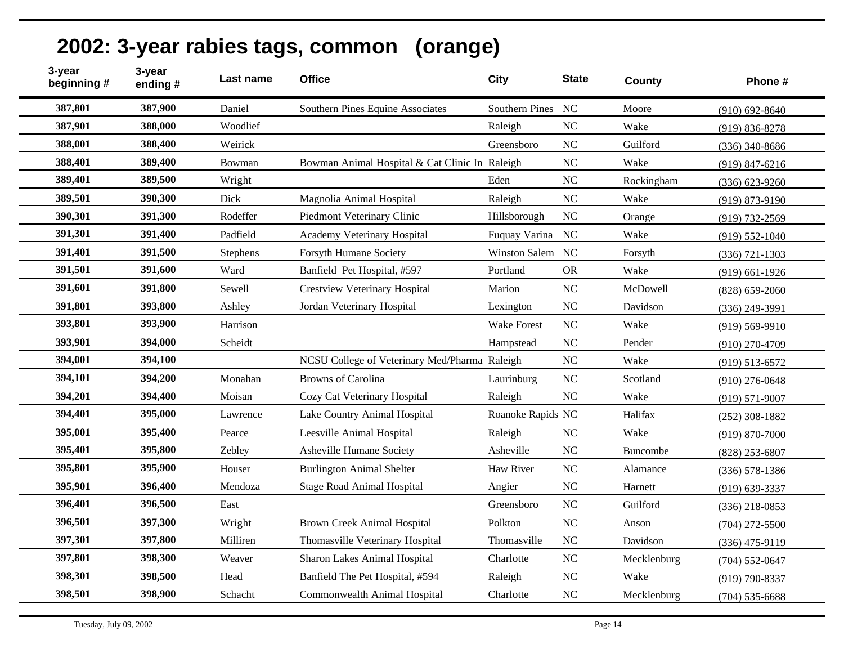| 3-year<br>beginning # | 3-year<br>ending# | Last name | <b>Office</b>                                  | <b>City</b>           | <b>State</b>   | County      | Phone #            |
|-----------------------|-------------------|-----------|------------------------------------------------|-----------------------|----------------|-------------|--------------------|
| 387,801               | 387,900           | Daniel    | Southern Pines Equine Associates               | <b>Southern Pines</b> | NC             | Moore       | $(910)$ 692-8640   |
| 387,901               | 388,000           | Woodlief  |                                                | Raleigh               | NC             | Wake        | $(919) 836 - 8278$ |
| 388,001               | 388,400           | Weirick   |                                                | Greensboro            | NC             | Guilford    | $(336)$ 340-8686   |
| 388,401               | 389,400           | Bowman    | Bowman Animal Hospital & Cat Clinic In Raleigh |                       | NC             | Wake        | $(919)$ 847-6216   |
| 389,401               | 389,500           | Wright    |                                                | Eden                  | NC             | Rockingham  | $(336) 623 - 9260$ |
| 389,501               | 390,300           | Dick      | Magnolia Animal Hospital                       | Raleigh               | N <sub>C</sub> | Wake        | $(919) 873 - 9190$ |
| 390,301               | 391,300           | Rodeffer  | Piedmont Veterinary Clinic                     | Hillsborough          | <b>NC</b>      | Orange      | $(919) 732 - 2569$ |
| 391,301               | 391,400           | Padfield  | Academy Veterinary Hospital                    | Fuquay Varina         | <b>NC</b>      | Wake        | $(919) 552 - 1040$ |
| 391,401               | 391,500           | Stephens  | <b>Forsyth Humane Society</b>                  | Winston Salem         | NC             | Forsyth     | $(336)$ 721-1303   |
| 391,501               | 391,600           | Ward      | Banfield Pet Hospital, #597                    | Portland              | <b>OR</b>      | Wake        | $(919)$ 661-1926   |
| 391,601               | 391,800           | Sewell    | <b>Crestview Veterinary Hospital</b>           | Marion                | N <sub>C</sub> | McDowell    | $(828) 659 - 2060$ |
| 391,801               | 393,800           | Ashley    | Jordan Veterinary Hospital                     | Lexington             | NC             | Davidson    | $(336)$ 249-3991   |
| 393,801               | 393,900           | Harrison  |                                                | <b>Wake Forest</b>    | NC             | Wake        | $(919) 569 - 9910$ |
| 393,901               | 394,000           | Scheidt   |                                                | Hampstead             | NC             | Pender      | $(910)$ 270-4709   |
| 394,001               | 394,100           |           | NCSU College of Veterinary Med/Pharma Raleigh  |                       | NC             | Wake        | $(919) 513 - 6572$ |
| 394,101               | 394,200           | Monahan   | <b>Browns</b> of Carolina                      | Laurinburg            | <b>NC</b>      | Scotland    | $(910)$ 276-0648   |
| 394,201               | 394,400           | Moisan    | Cozy Cat Veterinary Hospital                   | Raleigh               | NC             | Wake        | $(919) 571 - 9007$ |
| 394,401               | 395,000           | Lawrence  | Lake Country Animal Hospital                   | Roanoke Rapids NC     |                | Halifax     | $(252)$ 308-1882   |
| 395,001               | 395,400           | Pearce    | Leesville Animal Hospital                      | Raleigh               | <b>NC</b>      | Wake        | $(919) 870 - 7000$ |
| 395,401               | 395,800           | Zebley    | Asheville Humane Society                       | Asheville             | NC             | Buncombe    | $(828)$ 253-6807   |
| 395,801               | 395,900           | Houser    | <b>Burlington Animal Shelter</b>               | <b>Haw River</b>      | <b>NC</b>      | Alamance    | $(336) 578 - 1386$ |
| 395,901               | 396,400           | Mendoza   | <b>Stage Road Animal Hospital</b>              | Angier                | NC             | Harnett     | $(919) 639 - 3337$ |
| 396,401               | 396,500           | East      |                                                | Greensboro            | NC             | Guilford    | $(336)$ 218-0853   |
| 396,501               | 397,300           | Wright    | <b>Brown Creek Animal Hospital</b>             | Polkton               | NC             | Anson       | $(704)$ 272-5500   |
| 397,301               | 397,800           | Milliren  | Thomasville Veterinary Hospital                | Thomasville           | <b>NC</b>      | Davidson    | $(336)$ 475-9119   |
| 397,801               | 398,300           | Weaver    | <b>Sharon Lakes Animal Hospital</b>            | Charlotte             | <b>NC</b>      | Mecklenburg | $(704) 552 - 0647$ |
| 398,301               | 398,500           | Head      | Banfield The Pet Hospital, #594                | Raleigh               | NC             | Wake        | $(919)$ 790-8337   |
| 398,501               | 398,900           | Schacht   | Commonwealth Animal Hospital                   | Charlotte             | <b>NC</b>      | Mecklenburg | $(704)$ 535-6688   |